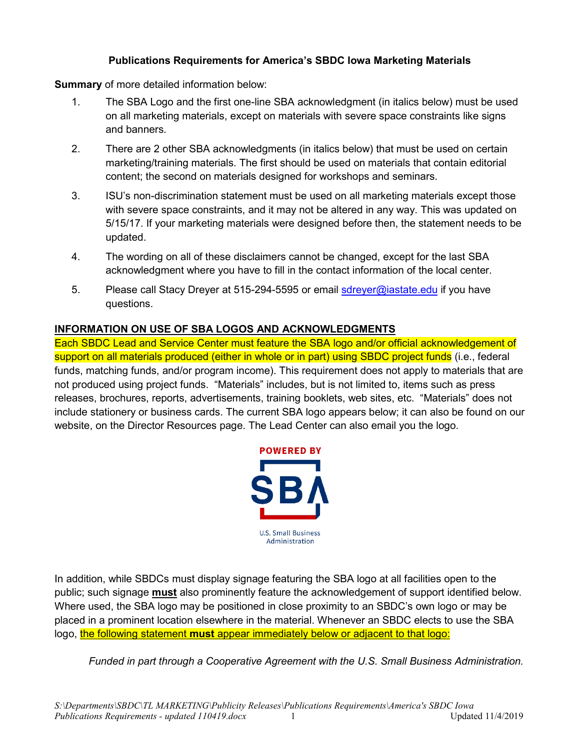## **Publications Requirements for America's SBDC Iowa Marketing Materials**

**Summary** of more detailed information below:

- 1. The SBA Logo and the first one-line SBA acknowledgment (in italics below) must be used on all marketing materials, except on materials with severe space constraints like signs and banners.
- 2. There are 2 other SBA acknowledgments (in italics below) that must be used on certain marketing/training materials. The first should be used on materials that contain editorial content; the second on materials designed for workshops and seminars.
- 3. ISU's non-discrimination statement must be used on all marketing materials except those with severe space constraints, and it may not be altered in any way. This was updated on 5/15/17. If your marketing materials were designed before then, the statement needs to be updated.
- 4. The wording on all of these disclaimers cannot be changed, except for the last SBA acknowledgment where you have to fill in the contact information of the local center.
- 5. Please call Stacy Dreyer at 515-294-5595 or email [sdreyer@iastate.edu](mailto:sdreyer@iastate.edu) if you have questions.

## **INFORMATION ON USE OF SBA LOGOS AND ACKNOWLEDGMENTS**

Each SBDC Lead and Service Center must feature the SBA logo and/or official acknowledgement of support on all materials produced (either in whole or in part) using SBDC project funds (i.e., federal funds, matching funds, and/or program income). This requirement does not apply to materials that are not produced using project funds. "Materials" includes, but is not limited to, items such as press releases, brochures, reports, advertisements, training booklets, web sites, etc. "Materials" does not include stationery or business cards. The current SBA logo appears below; it can also be found on our website, on the Director Resources page. The Lead Center can also email you the logo.



In addition, while SBDCs must display signage featuring the SBA logo at all facilities open to the public; such signage **must** also prominently feature the acknowledgement of support identified below. Where used, the SBA logo may be positioned in close proximity to an SBDC's own logo or may be placed in a prominent location elsewhere in the material. Whenever an SBDC elects to use the SBA logo, the following statement must appear immediately below or adjacent to that logo:

*Funded in part through a Cooperative Agreement with the U.S. Small Business Administration.*